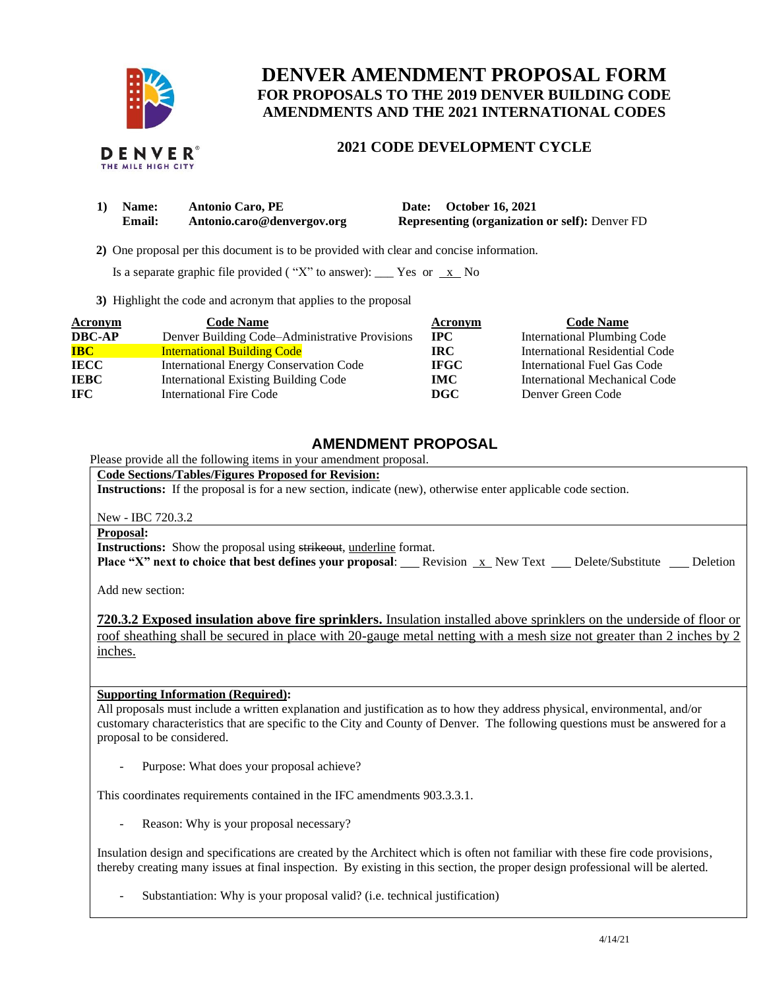

## **DENVER AMENDMENT PROPOSAL FORM FOR PROPOSALS TO THE 2019 DENVER BUILDING CODE AMENDMENTS AND THE 2021 INTERNATIONAL CODES**

# **2021 CODE DEVELOPMENT CYCLE**

| 1) Name: | <b>Antonio Caro, PE</b>    | Date: October 16, 2021                                |
|----------|----------------------------|-------------------------------------------------------|
| Email:   | Antonio.caro@denvergov.org | <b>Representing (organization or self): Denver FD</b> |

 **2)** One proposal per this document is to be provided with clear and concise information.

Is a separate graphic file provided ("X" to answer): \_\_\_ Yes or  $\overline{x}$  No

**3)** Highlight the code and acronym that applies to the proposal

| <b>Acronym</b> | <b>Code Name</b>                               | Acronym     | <b>Code Name</b>                   |
|----------------|------------------------------------------------|-------------|------------------------------------|
| <b>DBC-AP</b>  | Denver Building Code-Administrative Provisions | $\bf IPC$   | <b>International Plumbing Code</b> |
| <b>IBC</b>     | <b>International Building Code</b>             | IRC-        | International Residential Code     |
| <b>IECC</b>    | <b>International Energy Conservation Code</b>  | <b>IFGC</b> | International Fuel Gas Code        |
| <b>IEBC</b>    | <b>International Existing Building Code</b>    | IMC-        | International Mechanical Code      |
| IFC.           | International Fire Code                        | DGC         | Denver Green Code                  |

## **AMENDMENT PROPOSAL**

Please provide all the following items in your amendment proposal.

**Code Sections/Tables/Figures Proposed for Revision:**

**Instructions:** If the proposal is for a new section, indicate (new), otherwise enter applicable code section.

New - IBC 720.3.2

**Proposal:**

**Instructions:** Show the proposal using strikeout, underline format.

**Place "X" next to choice that best defines your proposal:** Revision x New Text Delete/Substitute Deletion

Add new section:

**720.3.2 Exposed insulation above fire sprinklers.** Insulation installed above sprinklers on the underside of floor or roof sheathing shall be secured in place with 20-gauge metal netting with a mesh size not greater than 2 inches by 2 inches.

**Supporting Information (Required):** 

All proposals must include a written explanation and justification as to how they address physical, environmental, and/or customary characteristics that are specific to the City and County of Denver. The following questions must be answered for a proposal to be considered.

Purpose: What does your proposal achieve?

This coordinates requirements contained in the IFC amendments 903.3.3.1.

Reason: Why is your proposal necessary?

Insulation design and specifications are created by the Architect which is often not familiar with these fire code provisions, thereby creating many issues at final inspection. By existing in this section, the proper design professional will be alerted.

Substantiation: Why is your proposal valid? (i.e. technical justification)